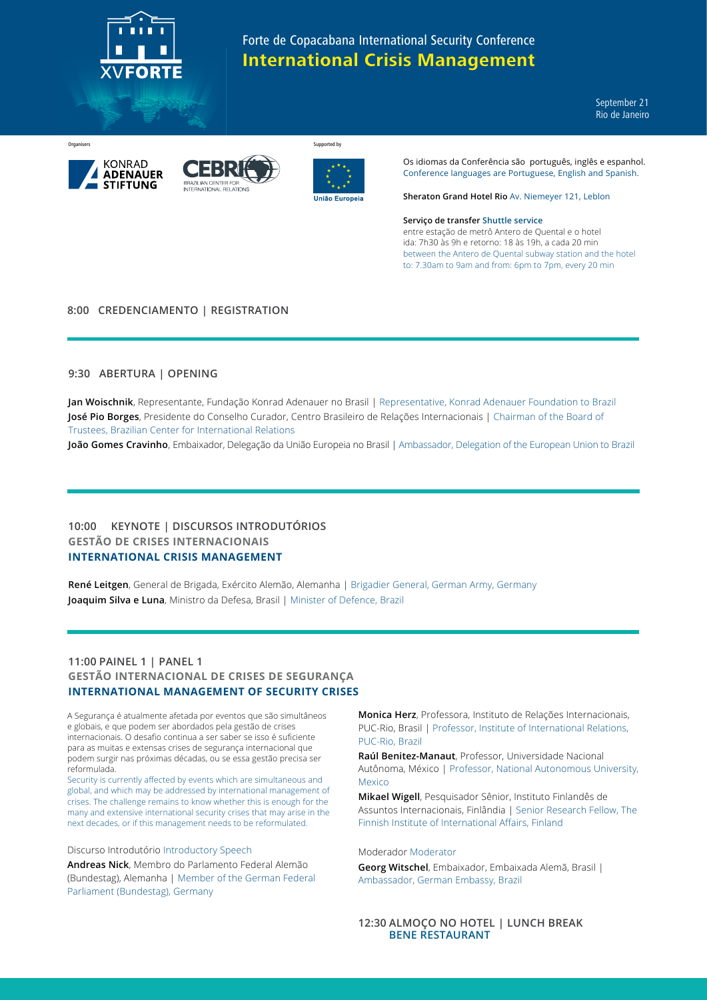

September 21 Rio de Janeiro





Organisers Supported by Supported by Supported by Supported by Supported by Supported by Supported by Supported by Supported by Supported by Supported by Supported by Supported by Supported by Supported by Supported by Sup



Os idiomas da Conferência são português, inglês e espanhol. Conference languages are Portuguese, English and Spanish.

**Sheraton Grand Hotel Rio** Av. Niemeyer 121, Leblon

#### **Serviço de transfer Shuttle service**

entre estação de metrô Antero de Quental e o hotel ida: 7h30 às 9h e retorno: 18 às 19h, a cada 20 min between the Antero de Quental subway station and the hotel to: 7.30am to 9am and from: 6pm to 7pm, every 20 min

## **8:00 CREDENCIAMENTO | REGISTRATION**

## **9:30 ABERTURA | OPENING**

**Jan Woischnik**, Representante, Fundação Konrad Adenauer no Brasil | Representative, Konrad Adenauer Foundation to Brazil **José Pio Borges**, Presidente do Conselho Curador, Centro Brasileiro de Relações Internacionais | Chairman of the Board of Trustees, Brazilian Center for International Relations

**João Gomes Cravinho**, Embaixador, Delegação da União Europeia no Brasil | Ambassador, Delegation of the European Union to Brazil

## **10:00 KEYNOTE | DISCURSOS INTRODUTÓRIOS GESTÃO DE CRISES INTERNACIONAIS INTERNATIONAL CRISIS MANAGEMENT**

**René Leitgen**, General de Brigada, Exército Alemão, Alemanha | Brigadier General, German Army, Germany **Joaquim Silva e Luna**, Ministro da Defesa, Brasil | Minister of Defence, Brazil

# **11:00 PAINEL 1 | PANEL 1 GESTÃO INTERNACIONAL DE CRISES DE SEGURANÇA INTERNATIONAL MANAGEMENT OF SECURITY CRISES**

A Segurança é atualmente afetada por eventos que são simultâneos e globais, e que podem ser abordados pela gestão de crises internacionais. O desafio continua a ser saber se isso é suficiente para as muitas e extensas crises de segurança internacional que podem surgir nas próximas décadas, ou se essa gestão precisa ser reformulada.

Security is currently affected by events which are simultaneous and global, and which may be addressed by international management of crises. The challenge remains to know whether this is enough for the many and extensive international security crises that may arise in the next decades, or if this management needs to be reformulated.

Discurso Introdutório Introductory Speech

**Andreas Nick**, Membro do Parlamento Federal Alemão (Bundestag), Alemanha | Member of the German Federal Parliament (Bundestag), Germany

**Monica Herz**, Professora, Instituto de Relações Internacionais, PUC-Rio, Brasil | Professor, Institute of International Relations, PUC-Rio, Brazil

**Raúl Benitez-Manaut**, Professor, Universidade Nacional Autônoma, México | Professor, National Autonomous University, Mexico

**Mikael Wigell**, Pesquisador Sênior, Instituto Finlandês de Assuntos Internacionais, Finlândia | Senior Research Fellow, The Finnish Institute of International Affairs, Finland

### Moderador Moderator

**Georg Witschel**, Embaixador, Embaixada Alemã, Brasil | Ambassador, German Embassy, Brazil

## **12:30 ALMOÇO NO HOTEL | LUNCH BREAK BENE RESTAURANT**